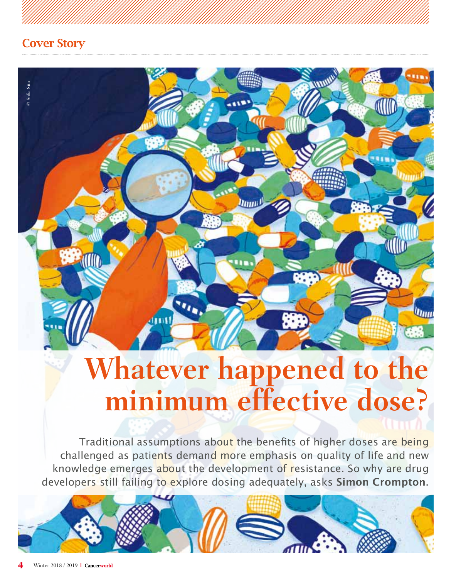

# **Whatever happened to the minimum effective dose?**

Traditional assumptions about the benefits of higher doses are being challenged as patients demand more emphasis on quality of life and new knowledge emerges about the development of resistance. So why are drug developers still failing to explore dosing adequately, asks **Simon Crompton**.

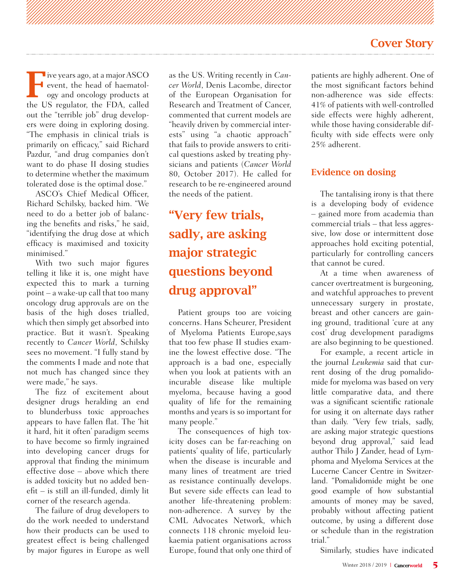Five years ago, at a major ASCO<br>event, the head of haematology and oncology products at<br>the US results the EDA called event, the head of haematol-**L** ogy and oncology products at the US regulator, the FDA, called out the "terrible job" drug developers were doing in exploring dosing. "The emphasis in clinical trials is primarily on efficacy," said Richard Pazdur, "and drug companies don't want to do phase II dosing studies to determine whether the maximum tolerated dose is the optimal dose."

ASCO's Chief Medical Officer, Richard Schilsky, backed him. "We need to do a better job of balancing the benefits and risks," he said, "identifying the drug dose at which efficacy is maximised and toxicity minimised."

With two such major figures telling it like it is, one might have expected this to mark a turning point – a wake-up call that too many oncology drug approvals are on the basis of the high doses trialled, which then simply get absorbed into practice. But it wasn't. Speaking recently to *Cancer World*, Schilsky sees no movement. "I fully stand by the comments I made and note that not much has changed since they were made," he says.

The fizz of excitement about designer drugs heralding an end to blunderbuss toxic approaches appears to have fallen flat. The 'hit it hard, hit it often' paradigm seems to have become so firmly ingrained into developing cancer drugs for approval that finding the minimum effective dose – above which there is added toxicity but no added benefit – is still an ill-funded, dimly lit corner of the research agenda.

The failure of drug developers to do the work needed to understand how their products can be used to greatest effect is being challenged by major figures in Europe as well as the US. Writing recently in *Cancer World*, Denis Lacombe, director of the European Organisation for Research and Treatment of Cancer, commented that current models are "heavily driven by commercial interests" using "a chaotic approach" that fails to provide answers to critical questions asked by treating physicians and patients (*Cancer World* 80, October 2017). He called for research to be re-engineered around the needs of the patient.

# "Very few trials, sadly, are asking major strategic questions beyond drug approval"

Patient groups too are voicing concerns. Hans Scheurer, President of Myeloma Patients Europe,says that too few phase II studies examine the lowest effective dose. "The approach is a bad one, especially when you look at patients with an incurable disease like multiple myeloma, because having a good quality of life for the remaining months and years is so important for many people."

The consequences of high toxicity doses can be far-reaching on patients' quality of life, particularly when the disease is incurable and many lines of treatment are tried as resistance continually develops. But severe side effects can lead to another life-threatening problem: non-adherence. A survey by the CML Advocates Network, which connects 118 chronic myeloid leukaemia patient organisations across Europe, found that only one third of patients are highly adherent. One of the most significant factors behind non-adherence was side effects: 41% of patients with well-controlled side effects were highly adherent, while those having considerable difficulty with side effects were only 25% adherent.

#### Evidence on dosing

The tantalising irony is that there is a developing body of evidence – gained more from academia than commercial trials – that less aggressive, low dose or intermittent dose approaches hold exciting potential, particularly for controlling cancers that cannot be cured.

At a time when awareness of cancer overtreatment is burgeoning, and watchful approaches to prevent unnecessary surgery in prostate, breast and other cancers are gaining ground, traditional 'cure at any cost' drug development paradigms are also beginning to be questioned.

For example, a recent article in the journal *Leukemia* said that current dosing of the drug pomalidomide for myeloma was based on very little comparative data, and there was a significant scientific rationale for using it on alternate days rather than daily. "Very few trials, sadly, are asking major strategic questions beyond drug approval," said lead author Thilo J Zander, head of Lymphoma and Myeloma Services at the Lucerne Cancer Centre in Switzerland. "Pomalidomide might be one good example of how substantial amounts of money may be saved, probably without affecting patient outcome, by using a different dose or schedule than in the registration trial."

Similarly, studies have indicated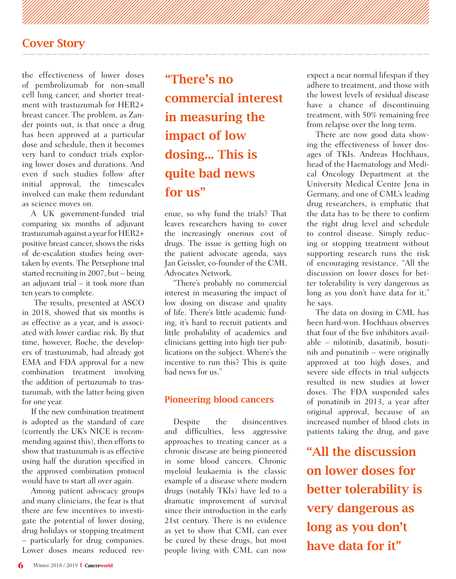the effectiveness of lower doses of pembrolizumab for non-small cell lung cancer, and shorter treatment with trastuzumab for HER2+ breast cancer. The problem, as Zander points out, is that once a drug has been approved at a particular dose and schedule, then it becomes very hard to conduct trials exploring lower doses and durations. And even if such studies follow after initial approval, the timescales involved can make them redundant as science moves on.

A UK government-funded trial comparing six months of adjuvant trastuzumab against a year for HER2+ positive breast cancer, shows the risks of de-escalation studies being overtaken by events. The Persephone trial started recruiting in 2007, but – being an adjuvant trial  $-$  it took more than ten years to complete.

 The results, presented at ASCO in 2018, showed that six months is as effective as a year, and is associated with lower cardiac risk. By that time, however, Roche, the developers of trastuzumab, had already got EMA and FDA approval for a new combination treatment involving the addition of pertuzumab to trastuzumab, with the latter being given for one year.

If the new combination treatment is adopted as the standard of care (currently the UK's NICE is recommending against this), then efforts to show that trastuzumab is as effective using half the duration specified in the approved combination protocol would have to start all over again.

Among patient advocacy groups and many clinicians, the fear is that there are few incentives to investigate the potential of lower dosing, drug holidays or stopping treatment – particularly for drug companies. Lower doses means reduced rev-

"There's no commercial interest in measuring the impact of low dosing... This is quite bad news for us"

enue, so why fund the trials? That leaves researchers having to cover the increasingly onerous cost of drugs. The issue is getting high on the patient advocate agenda, says Jan Geissler, co-founder of the CML Advocates Network.

"There's probably no commercial interest in measuring the impact of low dosing on disease and quality of life. There's little academic funding, it's hard to recruit patients and little probability of academics and clinicians getting into high tier publications on the subject. Where's the incentive to run this? This is quite bad news for us."

#### Pioneering blood cancers

Despite the disincentives and difficulties, less aggressive approaches to treating cancer as a chronic disease are being pioneered in some blood cancers. Chronic myeloid leukaemia is the classic example of a disease where modern drugs (notably TKIs) have led to a dramatic improvement of survival since their introduction in the early 21st century. There is no evidence as yet to show that CML can ever be cured by these drugs, but most people living with CML can now

expect a near normal lifespan if they adhere to treatment, and those with the lowest levels of residual disease have a chance of discontinuing treatment, with 50% remaining free from relapse over the long term.

There are now good data showing the effectiveness of lower dosages of TKIs. Andreas Hochhaus, head of the Haematology and Medical Oncology Department at the University Medical Centre Jena in Germany, and one of CML's leading drug researchers, is emphatic that the data has to be there to confirm the right drug level and schedule to control disease. Simply reducing or stopping treatment without supporting research runs the risk of encouraging resistance. "All the discussion on lower doses for better tolerability is very dangerous as long as you don't have data for it," he says.

The data on dosing in CML has been hard-won. Hochhaus observes that four of the five inhibitors available – nilotinib, dasatinib, bosutinib and ponatinib – were originally approved at too high doses, and severe side effects in trial subjects resulted in new studies at lower doses. The FDA suspended sales of ponatinib in 2013, a year after original approval, because of an increased number of blood clots in patients taking the drug, and gave

"All the discussion on lower doses for better tolerability is very dangerous as long as you don't have data for it"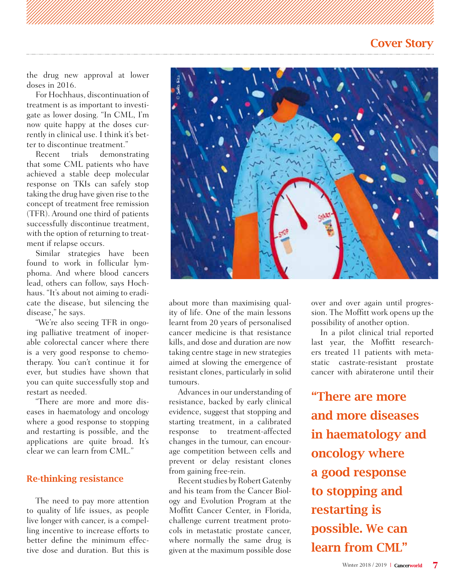the drug new approval at lower doses in 2016.

For Hochhaus, discontinuation of treatment is as important to investigate as lower dosing. "In CML, I'm now quite happy at the doses currently in clinical use. I think it's better to discontinue treatment."<br>Recent trials demonst

demonstrating that some CML patients who have achieved a stable deep molecular response on TKIs can safely stop taking the drug have given rise to the concept of treatment free remission (TFR). Around one third of patients successfully discontinue treatment, with the option of returning to treatment if relapse occurs.

Similar strategies have been found to work in follicular lymphoma. And where blood cancers lead, others can follow, says Hochhaus. "It's about not aiming to eradicate the disease, but silencing the disease," he says.

"We're also seeing TFR in ongoing palliative treatment of inoperable colorectal cancer where there is a very good response to chemotherapy. You can't continue it for ever, but studies have shown that you can quite successfully stop and restart as needed.

"There are more and more diseases in haematology and oncology where a good response to stopping and restarting is possible, and the applications are quite broad. It's clear we can learn from CML."

#### Re-thinking resistance

The need to pay more attention to quality of life issues, as people live longer with cancer, is a compelling incentive to increase efforts to better define the minimum effective dose and duration. But this is



about more than maximising quality of life. One of the main lessons learnt from 20 years of personalised cancer medicine is that resistance kills, and dose and duration are now taking centre stage in new strategies aimed at slowing the emergence of resistant clones, particularly in solid tumours.

Advances in our understanding of resistance, backed by early clinical evidence, suggest that stopping and starting treatment, in a calibrated response to treatment-affected changes in the tumour, can encourage competition between cells and prevent or delay resistant clones from gaining free-rein.

Recent studies by Robert Gatenby and his team from the Cancer Biology and Evolution Program at the Moffitt Cancer Center, in Florida, challenge current treatment protocols in metastatic prostate cancer, where normally the same drug is given at the maximum possible dose

over and over again until progression. The Moffitt work opens up the possibility of another option.

In a pilot clinical trial reported last year, the Moffitt researchers treated 11 patients with metastatic castrate-resistant prostate cancer with abiraterone until their

"There are more and more diseases in haematology and oncology where a good response to stopping and restarting is possible. We can learn from CML"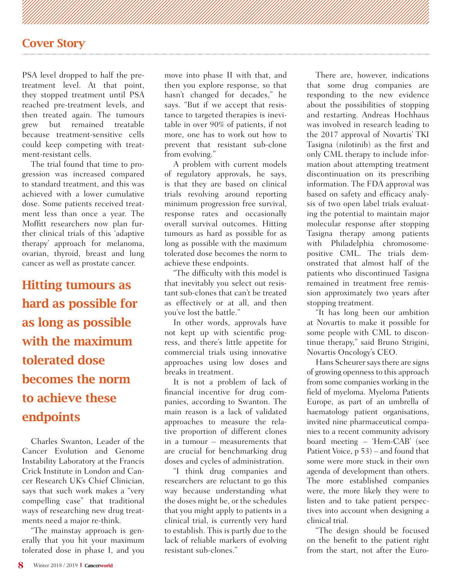PSA level dropped to half the pretreatment level. At that point, they stopped treatment until PSA reached pre-treatment levels, and then treated again. The tumours grew but remained treatable because treatment-sensitive cells could keep competing with treatment-resistant cells.

The trial found that time to progression was increased compared to standard treatment, and this was achieved with a lower cumulative dose. Some patients received treatment less than once a year. The Moffitt researchers now plan further clinical trials of this 'adaptive therapy' approach for melanoma, ovarian, thyroid, breast and lung cancer as well as prostate cancer.

Hitting tumours as hard as possible for as long as possible with the maximum tolerated dose becomes the norm to achieve these endpoints

Charles Swanton, Leader of the Cancer Evolution and Genome Instability Laboratory at the Francis Crick Institute in London and Cancer Research UK's Chief Clinician, says that such work makes a "very compelling case" that traditional ways of researching new drug treatments need a major re-think.

"The mainstay approach is generally that you hit your maximum tolerated dose in phase I, and you

move into phase II with that, and then you explore response, so that hasn't changed for decades," he says. "But if we accept that resistance to targeted therapies is inevitable in over 90% of patients, if not more, one has to work out how to prevent that resistant sub-clone from evolving."

A problem with current models of regulatory approvals, he says, is that they are based on clinical trials revolving around reporting minimum progression free survival, response rates and occasionally overall survival outcomes. Hitting tumours as hard as possible for as long as possible with the maximum tolerated dose becomes the norm to achieve these endpoints.

"The difficulty with this model is that inevitably you select out resistant sub-clones that can't be treated as effectively or at all, and then you've lost the battle."

In other words, approvals have not kept up with scientific progress, and there's little appetite for commercial trials using innovative approaches using low doses and breaks in treatment.

It is not a problem of lack of financial incentive for drug companies, according to Swanton. The main reason is a lack of validated approaches to measure the relative proportion of different clones in a tumour – measurements that are crucial for benchmarking drug doses and cycles of administration.

"I think drug companies and researchers are reluctant to go this way because understanding what the doses might be, or the schedules that you might apply to patients in a clinical trial, is currently very hard to establish. This is partly due to the lack of reliable markers of evolving resistant sub-clones."

There are, however, indications that some drug companies are responding to the new evidence about the possibilities of stopping and restarting. Andreas Hochhaus was involved in research leading to the 2017 approval of Novartis' TKI Tasigna (nilotinib) as the first and only CML therapy to include information about attempting treatment discontinuation on its prescribing information. The FDA approval was based on safety and efficacy analysis of two open label trials evaluating the potential to maintain major molecular response after stopping Tasigna therapy among patients with Philadelphia chromosomepositive CML. The trials demonstrated that almost half of the patients who discontinued Tasigna remained in treatment free remission approximately two years after stopping treatment.

"It has long been our ambition at Novartis to make it possible for some people with CML to discontinue therapy," said Bruno Strigini, Novartis Oncology's CEO.

Hans Scheurer says there are signs of growing openness to this approach from some companies working in the field of myeloma. Myeloma Patients Europe, as part of an umbrella of haematology patient organisations, invited nine pharmaceutical companies to a recent community advisory board meeting – 'Hem-CAB' (see Patient Voice, p 53) – and found that some were more stuck in their own agenda of development than others. The more established companies were, the more likely they were to listen and to take patient perspectives into account when designing a clinical trial.

"The design should be focused on the benefit to the patient right from the start, not after the Euro-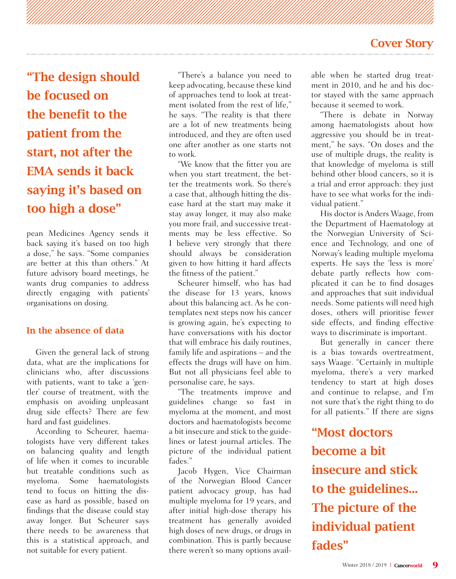"The design should be focused on the benefit to the patient from the start, not after the EMA sends it back saying it's based on too high a dose"

pean Medicines Agency sends it back saying it's based on too high a dose," he says. "Some companies are better at this than others." At future advisory board meetings, he wants drug companies to address directly engaging with patients' organisations on dosing.

#### In the absence of data

Given the general lack of strong data, what are the implications for clinicians who, after discussions with patients, want to take a 'gentler' course of treatment, with the emphasis on avoiding unpleasant drug side effects? There are few hard and fast guidelines.

According to Scheurer, haematologists have very different takes on balancing quality and length of life when it comes to incurable but treatable conditions such as myeloma. Some haematologists tend to focus on hitting the disease as hard as possible, based on findings that the disease could stay away longer. But Scheurer says there needs to be awareness that this is a statistical approach, and not suitable for every patient.

"There's a balance you need to keep advocating, because these kind of approaches tend to look at treatment isolated from the rest of life." he says. "The reality is that there are a lot of new treatments being introduced, and they are often used one after another as one starts not to work.

"We know that the fitter you are when you start treatment, the better the treatments work. So there's a case that, although hitting the disease hard at the start may make it stay away longer, it may also make you more frail, and successive treatments may be less effective. So I believe very strongly that there should always be consideration given to how hitting it hard affects the fitness of the patient."

Scheurer himself, who has had the disease for 13 years, knows about this balancing act. As he contemplates next steps now his cancer is growing again, he's expecting to have conversations with his doctor that will embrace his daily routines, family life and aspirations – and the effects the drugs will have on him. But not all physicians feel able to personalise care, he says.

"The treatments improve and guidelines change so fast in myeloma at the moment, and most doctors and haematologists become a bit insecure and stick to the guidelines or latest journal articles. The picture of the individual patient fades."

Jacob Hygen, Vice Chairman of the Norwegian Blood Cancer patient advocacy group, has had multiple myeloma for 19 years, and after initial high-dose therapy his treatment has generally avoided high doses of new drugs, or drugs in combination. This is partly because there weren't so many options avail-

able when he started drug treatment in 2010, and he and his doctor stayed with the same approach because it seemed to work.

"There is debate in Norway among haematologists about how aggressive you should be in treatment," he says. "On doses and the use of multiple drugs, the reality is that knowledge of myeloma is still behind other blood cancers, so it is a trial and error approach: they just have to see what works for the individual patient."

His doctor is Anders Waage, from the Department of Haematology at the Norwegian University of Science and Technology, and one of Norway's leading multiple myeloma experts. He says the 'less is more' debate partly reflects how complicated it can be to find dosages and approaches that suit individual needs. Some patients will need high doses, others will prioritise fewer side effects, and finding effective ways to discriminate is important.

But generally in cancer there is a bias towards overtreatment, says Waage. "Certainly in multiple myeloma, there's a very marked tendency to start at high doses and continue to relapse, and I'm not sure that's the right thing to do for all patients." If there are signs

"Most doctors become a bit insecure and stick to the guidelines... The picture of the individual patient fades"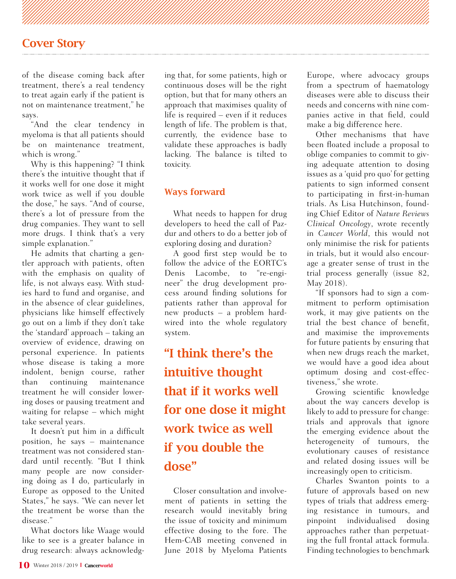of the disease coming back after treatment, there's a real tendency to treat again early if the patient is not on maintenance treatment," he says.

"And the clear tendency in myeloma is that all patients should be on maintenance treatment, which is wrong."

Why is this happening? "I think there's the intuitive thought that if it works well for one dose it might work twice as well if you double the dose," he says. "And of course, there's a lot of pressure from the drug companies. They want to sell more drugs. I think that's a very simple explanation."

He admits that charting a gentler approach with patients, often with the emphasis on quality of life, is not always easy. With studies hard to fund and organise, and in the absence of clear guidelines, physicians like himself effectively go out on a limb if they don't take the 'standard' approach – taking an overview of evidence, drawing on personal experience. In patients whose disease is taking a more indolent, benign course, rather than continuing maintenance treatment he will consider lowering doses or pausing treatment and waiting for relapse – which might take several years.

It doesn't put him in a difficult position, he says – maintenance treatment was not considered standard until recently. "But I think many people are now considering doing as I do, particularly in Europe as opposed to the United States," he says. "We can never let the treatment be worse than the disease."

What doctors like Waage would like to see is a greater balance in drug research: always acknowledging that, for some patients, high or continuous doses will be the right option, but that for many others an approach that maximises quality of life is required – even if it reduces length of life. The problem is that, currently, the evidence base to validate these approaches is badly lacking. The balance is tilted to toxicity.

#### Ways forward

What needs to happen for drug developers to heed the call of Pazdur and others to do a better job of exploring dosing and duration?

A good first step would be to follow the advice of the EORTC's Denis Lacombe, to "re-engineer" the drug development process around finding solutions for patients rather than approval for new products – a problem hardwired into the whole regulatory system.

"I think there's the intuitive thought that if it works well for one dose it might work twice as well if you double the dose"

Closer consultation and involvement of patients in setting the research would inevitably bring the issue of toxicity and minimum effective dosing to the fore. The Hem-CAB meeting convened in June 2018 by Myeloma Patients

Europe, where advocacy groups from a spectrum of haematology diseases were able to discuss their needs and concerns with nine companies active in that field, could make a big difference here.

Other mechanisms that have been floated include a proposal to oblige companies to commit to giving adequate attention to dosing issues as a 'quid pro quo' for getting patients to sign informed consent to participating in first-in-human trials. As Lisa Hutchinson, founding Chief Editor of *Nature Reviews Clinical Oncology*, wrote recently in *Cancer World*, this would not only minimise the risk for patients in trials, but it would also encourage a greater sense of trust in the trial process generally (issue 82, May 2018).

"If sponsors had to sign a commitment to perform optimisation work, it may give patients on the trial the best chance of benefit, and maximise the improvements for future patients by ensuring that when new drugs reach the market, we would have a good idea about optimum dosing and cost-effectiveness," she wrote.

Growing scientific knowledge about the way cancers develop is likely to add to pressure for change: trials and approvals that ignore the emerging evidence about the heterogeneity of tumours, the evolutionary causes of resistance and related dosing issues will be increasingly open to criticism.

Charles Swanton points to a future of approvals based on new types of trials that address emerging resistance in tumours, and pinpoint individualised dosing approaches rather than perpetuating the full frontal attack formula. Finding technologies to benchmark